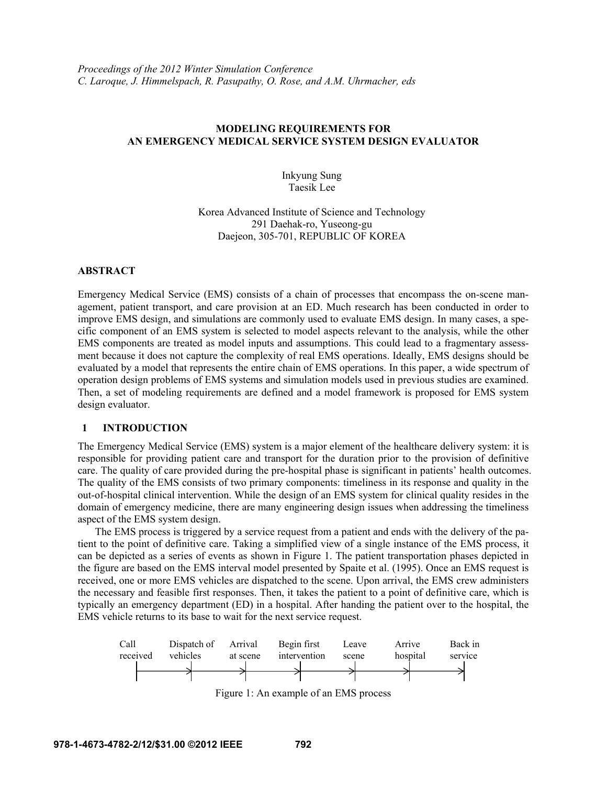# **MODELING REQUIREMENTS FOR AN EMERGENCY MEDICAL SERVICE SYSTEM DESIGN EVALUATOR**

Inkyung Sung Taesik Lee

Korea Advanced Institute of Science and Technology 291 Daehak-ro, Yuseong-gu Daejeon, 305-701, REPUBLIC OF KOREA

# **ABSTRACT**

Emergency Medical Service (EMS) consists of a chain of processes that encompass the on-scene management, patient transport, and care provision at an ED. Much research has been conducted in order to improve EMS design, and simulations are commonly used to evaluate EMS design. In many cases, a specific component of an EMS system is selected to model aspects relevant to the analysis, while the other EMS components are treated as model inputs and assumptions. This could lead to a fragmentary assessment because it does not capture the complexity of real EMS operations. Ideally, EMS designs should be evaluated by a model that represents the entire chain of EMS operations. In this paper, a wide spectrum of operation design problems of EMS systems and simulation models used in previous studies are examined. Then, a set of modeling requirements are defined and a model framework is proposed for EMS system design evaluator.

## **1 INTRODUCTION**

The Emergency Medical Service (EMS) system is a major element of the healthcare delivery system: it is responsible for providing patient care and transport for the duration prior to the provision of definitive care. The quality of care provided during the pre-hospital phase is significant in patients' health outcomes. The quality of the EMS consists of two primary components: timeliness in its response and quality in the out-of-hospital clinical intervention. While the design of an EMS system for clinical quality resides in the domain of emergency medicine, there are many engineering design issues when addressing the timeliness aspect of the EMS system design.

The EMS process is triggered by a service request from a patient and ends with the delivery of the patient to the point of definitive care. Taking a simplified view of a single instance of the EMS process, it can be depicted as a series of events as shown in Figure 1. The patient transportation phases depicted in the figure are based on the EMS interval model presented by Spaite et al. (1995). Once an EMS request is received, one or more EMS vehicles are dispatched to the scene. Upon arrival, the EMS crew administers the necessary and feasible first responses. Then, it takes the patient to a point of definitive care, which is typically an emergency department (ED) in a hospital. After handing the patient over to the hospital, the EMS vehicle returns to its base to wait for the next service request.



Figure 1: An example of an EMS process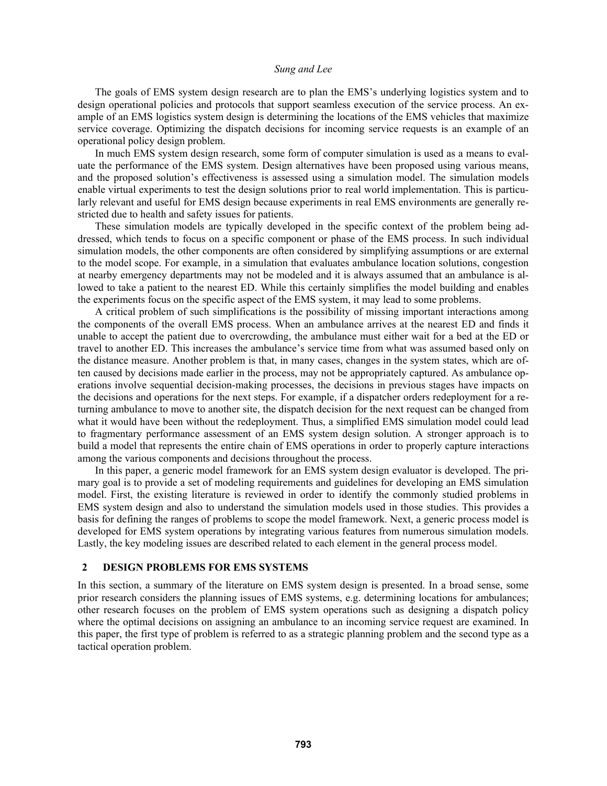The goals of EMS system design research are to plan the EMS's underlying logistics system and to design operational policies and protocols that support seamless execution of the service process. An example of an EMS logistics system design is determining the locations of the EMS vehicles that maximize service coverage. Optimizing the dispatch decisions for incoming service requests is an example of an operational policy design problem.

In much EMS system design research, some form of computer simulation is used as a means to evaluate the performance of the EMS system. Design alternatives have been proposed using various means, and the proposed solution's effectiveness is assessed using a simulation model. The simulation models enable virtual experiments to test the design solutions prior to real world implementation. This is particularly relevant and useful for EMS design because experiments in real EMS environments are generally restricted due to health and safety issues for patients.

These simulation models are typically developed in the specific context of the problem being addressed, which tends to focus on a specific component or phase of the EMS process. In such individual simulation models, the other components are often considered by simplifying assumptions or are external to the model scope. For example, in a simulation that evaluates ambulance location solutions, congestion at nearby emergency departments may not be modeled and it is always assumed that an ambulance is allowed to take a patient to the nearest ED. While this certainly simplifies the model building and enables the experiments focus on the specific aspect of the EMS system, it may lead to some problems.

A critical problem of such simplifications is the possibility of missing important interactions among the components of the overall EMS process. When an ambulance arrives at the nearest ED and finds it unable to accept the patient due to overcrowding, the ambulance must either wait for a bed at the ED or travel to another ED. This increases the ambulance's service time from what was assumed based only on the distance measure. Another problem is that, in many cases, changes in the system states, which are often caused by decisions made earlier in the process, may not be appropriately captured. As ambulance operations involve sequential decision-making processes, the decisions in previous stages have impacts on the decisions and operations for the next steps. For example, if a dispatcher orders redeployment for a returning ambulance to move to another site, the dispatch decision for the next request can be changed from what it would have been without the redeployment. Thus, a simplified EMS simulation model could lead to fragmentary performance assessment of an EMS system design solution. A stronger approach is to build a model that represents the entire chain of EMS operations in order to properly capture interactions among the various components and decisions throughout the process.

In this paper, a generic model framework for an EMS system design evaluator is developed. The primary goal is to provide a set of modeling requirements and guidelines for developing an EMS simulation model. First, the existing literature is reviewed in order to identify the commonly studied problems in EMS system design and also to understand the simulation models used in those studies. This provides a basis for defining the ranges of problems to scope the model framework. Next, a generic process model is developed for EMS system operations by integrating various features from numerous simulation models. Lastly, the key modeling issues are described related to each element in the general process model.

# **2 DESIGN PROBLEMS FOR EMS SYSTEMS**

In this section, a summary of the literature on EMS system design is presented. In a broad sense, some prior research considers the planning issues of EMS systems, e.g. determining locations for ambulances; other research focuses on the problem of EMS system operations such as designing a dispatch policy where the optimal decisions on assigning an ambulance to an incoming service request are examined. In this paper, the first type of problem is referred to as a strategic planning problem and the second type as a tactical operation problem.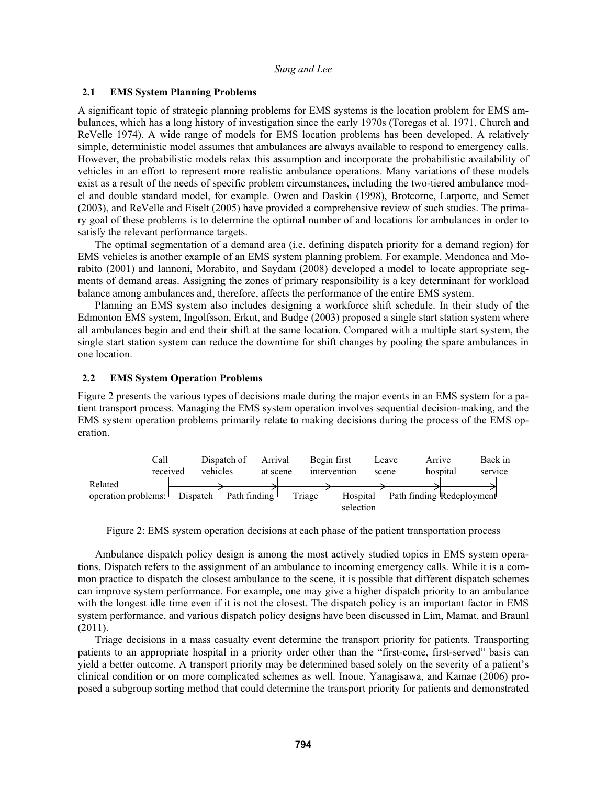### **2.1 EMS System Planning Problems**

A significant topic of strategic planning problems for EMS systems is the location problem for EMS ambulances, which has a long history of investigation since the early 1970s (Toregas et al. 1971, Church and ReVelle 1974). A wide range of models for EMS location problems has been developed. A relatively simple, deterministic model assumes that ambulances are always available to respond to emergency calls. However, the probabilistic models relax this assumption and incorporate the probabilistic availability of vehicles in an effort to represent more realistic ambulance operations. Many variations of these models exist as a result of the needs of specific problem circumstances, including the two-tiered ambulance model and double standard model, for example. Owen and Daskin (1998), Brotcorne, Larporte, and Semet (2003), and ReVelle and Eiselt (2005) have provided a comprehensive review of such studies. The primary goal of these problems is to determine the optimal number of and locations for ambulances in order to satisfy the relevant performance targets.

The optimal segmentation of a demand area (i.e. defining dispatch priority for a demand region) for EMS vehicles is another example of an EMS system planning problem. For example, Mendonca and Morabito (2001) and Iannoni, Morabito, and Saydam (2008) developed a model to locate appropriate segments of demand areas. Assigning the zones of primary responsibility is a key determinant for workload balance among ambulances and, therefore, affects the performance of the entire EMS system.

Planning an EMS system also includes designing a workforce shift schedule. In their study of the Edmonton EMS system, Ingolfsson, Erkut, and Budge (2003) proposed a single start station system where all ambulances begin and end their shift at the same location. Compared with a multiple start system, the single start station system can reduce the downtime for shift changes by pooling the spare ambulances in one location.

### **2.2 EMS System Operation Problems**

Figure 2 presents the various types of decisions made during the major events in an EMS system for a patient transport process. Managing the EMS system operation involves sequential decision-making, and the EMS system operation problems primarily relate to making decisions during the process of the EMS operation.



Figure 2: EMS system operation decisions at each phase of the patient transportation process

Ambulance dispatch policy design is among the most actively studied topics in EMS system operations. Dispatch refers to the assignment of an ambulance to incoming emergency calls. While it is a common practice to dispatch the closest ambulance to the scene, it is possible that different dispatch schemes can improve system performance. For example, one may give a higher dispatch priority to an ambulance with the longest idle time even if it is not the closest. The dispatch policy is an important factor in EMS system performance, and various dispatch policy designs have been discussed in Lim, Mamat, and Braunl (2011).

Triage decisions in a mass casualty event determine the transport priority for patients. Transporting patients to an appropriate hospital in a priority order other than the "first-come, first-served" basis can yield a better outcome. A transport priority may be determined based solely on the severity of a patient's clinical condition or on more complicated schemes as well. Inoue, Yanagisawa, and Kamae (2006) proposed a subgroup sorting method that could determine the transport priority for patients and demonstrated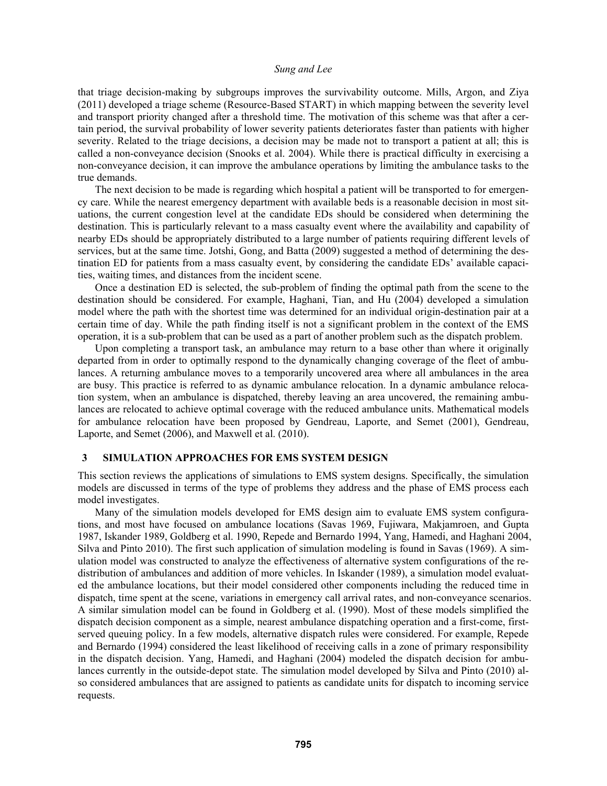that triage decision-making by subgroups improves the survivability outcome. Mills, Argon, and Ziya (2011) developed a triage scheme (Resource-Based START) in which mapping between the severity level and transport priority changed after a threshold time. The motivation of this scheme was that after a certain period, the survival probability of lower severity patients deteriorates faster than patients with higher severity. Related to the triage decisions, a decision may be made not to transport a patient at all; this is called a non-conveyance decision (Snooks et al. 2004). While there is practical difficulty in exercising a non-conveyance decision, it can improve the ambulance operations by limiting the ambulance tasks to the true demands.

The next decision to be made is regarding which hospital a patient will be transported to for emergency care. While the nearest emergency department with available beds is a reasonable decision in most situations, the current congestion level at the candidate EDs should be considered when determining the destination. This is particularly relevant to a mass casualty event where the availability and capability of nearby EDs should be appropriately distributed to a large number of patients requiring different levels of services, but at the same time. Jotshi, Gong, and Batta (2009) suggested a method of determining the destination ED for patients from a mass casualty event, by considering the candidate EDs' available capacities, waiting times, and distances from the incident scene.

Once a destination ED is selected, the sub-problem of finding the optimal path from the scene to the destination should be considered. For example, Haghani, Tian, and Hu (2004) developed a simulation model where the path with the shortest time was determined for an individual origin-destination pair at a certain time of day. While the path finding itself is not a significant problem in the context of the EMS operation, it is a sub-problem that can be used as a part of another problem such as the dispatch problem.

Upon completing a transport task, an ambulance may return to a base other than where it originally departed from in order to optimally respond to the dynamically changing coverage of the fleet of ambulances. A returning ambulance moves to a temporarily uncovered area where all ambulances in the area are busy. This practice is referred to as dynamic ambulance relocation. In a dynamic ambulance relocation system, when an ambulance is dispatched, thereby leaving an area uncovered, the remaining ambulances are relocated to achieve optimal coverage with the reduced ambulance units. Mathematical models for ambulance relocation have been proposed by Gendreau, Laporte, and Semet (2001), Gendreau, Laporte, and Semet (2006), and Maxwell et al. (2010).

# **3 SIMULATION APPROACHES FOR EMS SYSTEM DESIGN**

This section reviews the applications of simulations to EMS system designs. Specifically, the simulation models are discussed in terms of the type of problems they address and the phase of EMS process each model investigates.

Many of the simulation models developed for EMS design aim to evaluate EMS system configurations, and most have focused on ambulance locations (Savas 1969, Fujiwara, Makjamroen, and Gupta 1987, Iskander 1989, Goldberg et al. 1990, Repede and Bernardo 1994, Yang, Hamedi, and Haghani 2004, Silva and Pinto 2010). The first such application of simulation modeling is found in Savas (1969). A simulation model was constructed to analyze the effectiveness of alternative system configurations of the redistribution of ambulances and addition of more vehicles. In Iskander (1989), a simulation model evaluated the ambulance locations, but their model considered other components including the reduced time in dispatch, time spent at the scene, variations in emergency call arrival rates, and non-conveyance scenarios. A similar simulation model can be found in Goldberg et al. (1990). Most of these models simplified the dispatch decision component as a simple, nearest ambulance dispatching operation and a first-come, firstserved queuing policy. In a few models, alternative dispatch rules were considered. For example, Repede and Bernardo (1994) considered the least likelihood of receiving calls in a zone of primary responsibility in the dispatch decision. Yang, Hamedi, and Haghani (2004) modeled the dispatch decision for ambulances currently in the outside-depot state. The simulation model developed by Silva and Pinto (2010) also considered ambulances that are assigned to patients as candidate units for dispatch to incoming service requests.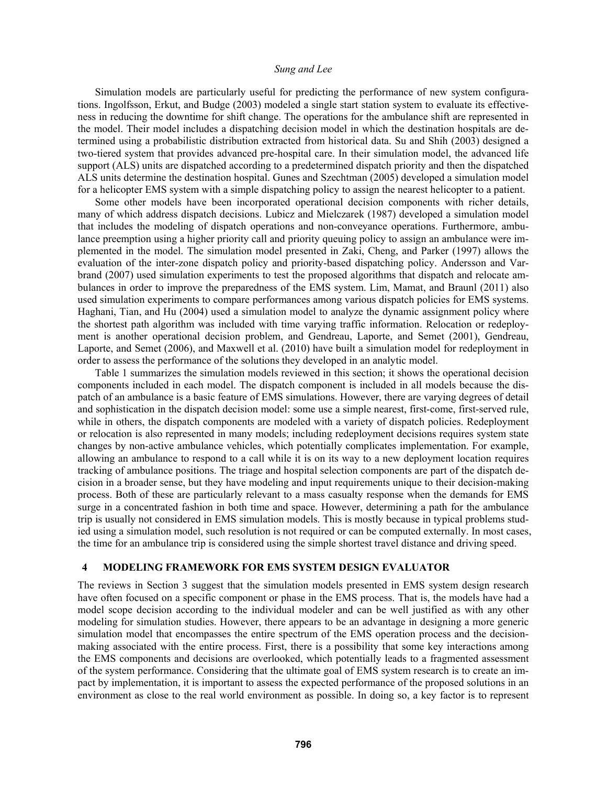Simulation models are particularly useful for predicting the performance of new system configurations. Ingolfsson, Erkut, and Budge (2003) modeled a single start station system to evaluate its effectiveness in reducing the downtime for shift change. The operations for the ambulance shift are represented in the model. Their model includes a dispatching decision model in which the destination hospitals are determined using a probabilistic distribution extracted from historical data. Su and Shih (2003) designed a two-tiered system that provides advanced pre-hospital care. In their simulation model, the advanced life support (ALS) units are dispatched according to a predetermined dispatch priority and then the dispatched ALS units determine the destination hospital. Gunes and Szechtman (2005) developed a simulation model for a helicopter EMS system with a simple dispatching policy to assign the nearest helicopter to a patient.

Some other models have been incorporated operational decision components with richer details, many of which address dispatch decisions. Lubicz and Mielczarek (1987) developed a simulation model that includes the modeling of dispatch operations and non-conveyance operations. Furthermore, ambulance preemption using a higher priority call and priority queuing policy to assign an ambulance were implemented in the model. The simulation model presented in Zaki, Cheng, and Parker (1997) allows the evaluation of the inter-zone dispatch policy and priority-based dispatching policy. Andersson and Varbrand (2007) used simulation experiments to test the proposed algorithms that dispatch and relocate ambulances in order to improve the preparedness of the EMS system. Lim, Mamat, and Braunl (2011) also used simulation experiments to compare performances among various dispatch policies for EMS systems. Haghani, Tian, and Hu (2004) used a simulation model to analyze the dynamic assignment policy where the shortest path algorithm was included with time varying traffic information. Relocation or redeployment is another operational decision problem, and Gendreau, Laporte, and Semet (2001), Gendreau, Laporte, and Semet (2006), and Maxwell et al. (2010) have built a simulation model for redeployment in order to assess the performance of the solutions they developed in an analytic model.

Table 1 summarizes the simulation models reviewed in this section; it shows the operational decision components included in each model. The dispatch component is included in all models because the dispatch of an ambulance is a basic feature of EMS simulations. However, there are varying degrees of detail and sophistication in the dispatch decision model: some use a simple nearest, first-come, first-served rule, while in others, the dispatch components are modeled with a variety of dispatch policies. Redeployment or relocation is also represented in many models; including redeployment decisions requires system state changes by non-active ambulance vehicles, which potentially complicates implementation. For example, allowing an ambulance to respond to a call while it is on its way to a new deployment location requires tracking of ambulance positions. The triage and hospital selection components are part of the dispatch decision in a broader sense, but they have modeling and input requirements unique to their decision-making process. Both of these are particularly relevant to a mass casualty response when the demands for EMS surge in a concentrated fashion in both time and space. However, determining a path for the ambulance trip is usually not considered in EMS simulation models. This is mostly because in typical problems studied using a simulation model, such resolution is not required or can be computed externally. In most cases, the time for an ambulance trip is considered using the simple shortest travel distance and driving speed.

# **4 MODELING FRAMEWORK FOR EMS SYSTEM DESIGN EVALUATOR**

The reviews in Section 3 suggest that the simulation models presented in EMS system design research have often focused on a specific component or phase in the EMS process. That is, the models have had a model scope decision according to the individual modeler and can be well justified as with any other modeling for simulation studies. However, there appears to be an advantage in designing a more generic simulation model that encompasses the entire spectrum of the EMS operation process and the decisionmaking associated with the entire process. First, there is a possibility that some key interactions among the EMS components and decisions are overlooked, which potentially leads to a fragmented assessment of the system performance. Considering that the ultimate goal of EMS system research is to create an impact by implementation, it is important to assess the expected performance of the proposed solutions in an environment as close to the real world environment as possible. In doing so, a key factor is to represent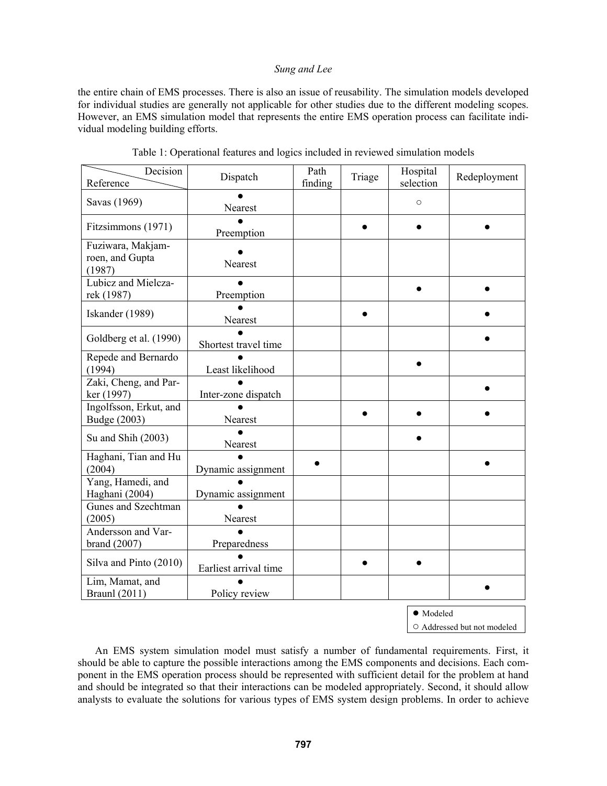the entire chain of EMS processes. There is also an issue of reusability. The simulation models developed for individual studies are generally not applicable for other studies due to the different modeling scopes. However, an EMS simulation model that represents the entire EMS operation process can facilitate individual modeling building efforts.

| Decision<br>Reference                          | Dispatch              | Path<br>finding | Triage | Hospital<br>selection | Redeployment |
|------------------------------------------------|-----------------------|-----------------|--------|-----------------------|--------------|
| Savas (1969)                                   | Nearest               |                 |        | $\bigcirc$            |              |
| Fitzsimmons (1971)                             | Preemption            |                 |        |                       |              |
| Fuziwara, Makjam-<br>roen, and Gupta<br>(1987) | Nearest               |                 |        |                       |              |
| Lubicz and Mielcza-<br>rek (1987)              | Preemption            |                 |        |                       |              |
| Iskander (1989)                                | Nearest               |                 |        |                       |              |
| Goldberg et al. (1990)                         | Shortest travel time  |                 |        |                       |              |
| Repede and Bernardo<br>(1994)                  | Least likelihood      |                 |        |                       |              |
| Zaki, Cheng, and Par-<br>ker (1997)            | Inter-zone dispatch   |                 |        |                       |              |
| Ingolfsson, Erkut, and<br>Budge (2003)         | Nearest               |                 |        |                       |              |
| Su and Shih (2003)                             | Nearest               |                 |        |                       |              |
| Haghani, Tian and Hu<br>(2004)                 | Dynamic assignment    |                 |        |                       |              |
| Yang, Hamedi, and<br>Haghani (2004)            | Dynamic assignment    |                 |        |                       |              |
| Gunes and Szechtman<br>(2005)                  | Nearest               |                 |        |                       |              |
| Andersson and Var-<br>brand (2007)             | Preparedness          |                 |        |                       |              |
| Silva and Pinto (2010)                         | Earliest arrival time |                 |        |                       |              |
| Lim, Mamat, and<br><b>Braunl</b> (2011)        | Policy review         |                 |        |                       |              |
| • Modeled                                      |                       |                 |        |                       |              |

Table 1: Operational features and logics included in reviewed simulation models

○ Addressed but not modeled

 An EMS system simulation model must satisfy a number of fundamental requirements. First, it should be able to capture the possible interactions among the EMS components and decisions. Each component in the EMS operation process should be represented with sufficient detail for the problem at hand and should be integrated so that their interactions can be modeled appropriately. Second, it should allow analysts to evaluate the solutions for various types of EMS system design problems. In order to achieve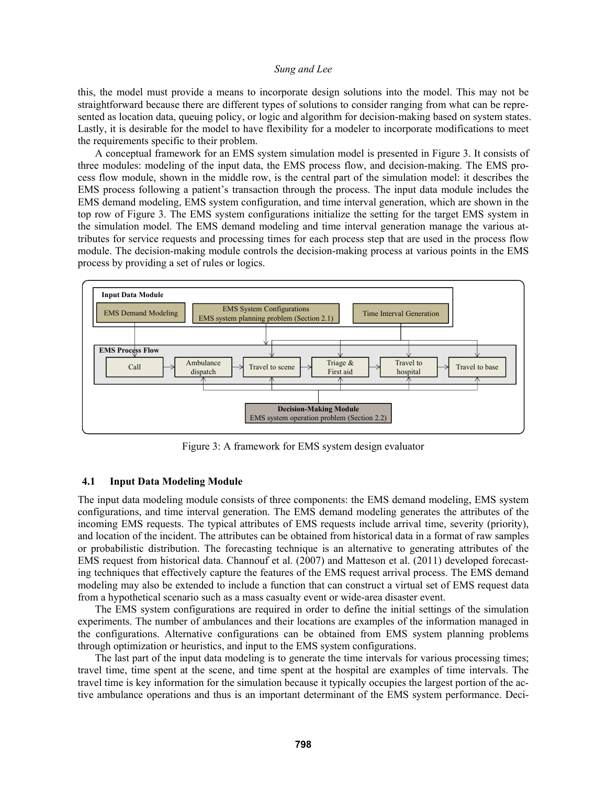this, the model must provide a means to incorporate design solutions into the model. This may not be straightforward because there are different types of solutions to consider ranging from what can be represented as location data, queuing policy, or logic and algorithm for decision-making based on system states. Lastly, it is desirable for the model to have flexibility for a modeler to incorporate modifications to meet the requirements specific to their problem.

A conceptual framework for an EMS system simulation model is presented in Figure 3. It consists of three modules: modeling of the input data, the EMS process flow, and decision-making. The EMS process flow module, shown in the middle row, is the central part of the simulation model: it describes the EMS process following a patient's transaction through the process. The input data module includes the EMS demand modeling, EMS system configuration, and time interval generation, which are shown in the top row of Figure 3. The EMS system configurations initialize the setting for the target EMS system in the simulation model. The EMS demand modeling and time interval generation manage the various attributes for service requests and processing times for each process step that are used in the process flow module. The decision-making module controls the decision-making process at various points in the EMS process by providing a set of rules or logics.



Figure 3: A framework for EMS system design evaluator

#### **4.1 Input Data Modeling Module**

The input data modeling module consists of three components: the EMS demand modeling, EMS system configurations, and time interval generation. The EMS demand modeling generates the attributes of the incoming EMS requests. The typical attributes of EMS requests include arrival time, severity (priority), and location of the incident. The attributes can be obtained from historical data in a format of raw samples or probabilistic distribution. The forecasting technique is an alternative to generating attributes of the EMS request from historical data. Channouf et al. (2007) and Matteson et al. (2011) developed forecasting techniques that effectively capture the features of the EMS request arrival process. The EMS demand modeling may also be extended to include a function that can construct a virtual set of EMS request data from a hypothetical scenario such as a mass casualty event or wide-area disaster event.

The EMS system configurations are required in order to define the initial settings of the simulation experiments. The number of ambulances and their locations are examples of the information managed in the configurations. Alternative configurations can be obtained from EMS system planning problems through optimization or heuristics, and input to the EMS system configurations.

The last part of the input data modeling is to generate the time intervals for various processing times; travel time, time spent at the scene, and time spent at the hospital are examples of time intervals. The travel time is key information for the simulation because it typically occupies the largest portion of the active ambulance operations and thus is an important determinant of the EMS system performance. Deci-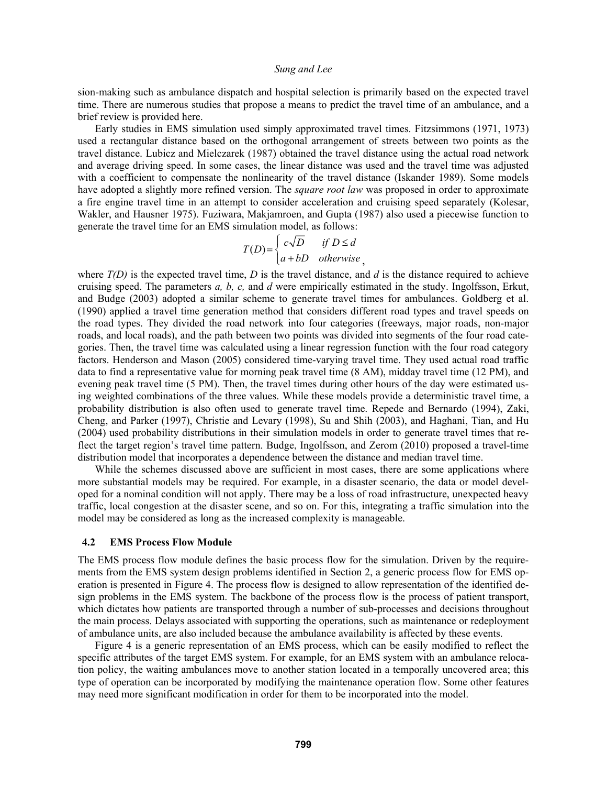sion-making such as ambulance dispatch and hospital selection is primarily based on the expected travel time. There are numerous studies that propose a means to predict the travel time of an ambulance, and a brief review is provided here.

Early studies in EMS simulation used simply approximated travel times. Fitzsimmons (1971, 1973) used a rectangular distance based on the orthogonal arrangement of streets between two points as the travel distance. Lubicz and Mielczarek (1987) obtained the travel distance using the actual road network and average driving speed. In some cases, the linear distance was used and the travel time was adjusted with a coefficient to compensate the nonlinearity of the travel distance (Iskander 1989). Some models have adopted a slightly more refined version. The *square root law* was proposed in order to approximate a fire engine travel time in an attempt to consider acceleration and cruising speed separately (Kolesar, Wakler, and Hausner 1975). Fuziwara, Makjamroen, and Gupta (1987) also used a piecewise function to generate the travel time for an EMS simulation model, as follows:

$$
T(D) = \begin{cases} c\sqrt{D} & \text{if } D \le d \\ a + bD & \text{otherwise} \end{cases}
$$

where  $T(D)$  is the expected travel time, *D* is the travel distance, and *d* is the distance required to achieve cruising speed. The parameters *a, b, c,* and *d* were empirically estimated in the study. Ingolfsson, Erkut, and Budge (2003) adopted a similar scheme to generate travel times for ambulances. Goldberg et al. (1990) applied a travel time generation method that considers different road types and travel speeds on the road types. They divided the road network into four categories (freeways, major roads, non-major roads, and local roads), and the path between two points was divided into segments of the four road categories. Then, the travel time was calculated using a linear regression function with the four road category factors. Henderson and Mason (2005) considered time-varying travel time. They used actual road traffic data to find a representative value for morning peak travel time (8 AM), midday travel time (12 PM), and evening peak travel time (5 PM). Then, the travel times during other hours of the day were estimated using weighted combinations of the three values. While these models provide a deterministic travel time, a probability distribution is also often used to generate travel time. Repede and Bernardo (1994), Zaki, Cheng, and Parker (1997), Christie and Levary (1998), Su and Shih (2003), and Haghani, Tian, and Hu (2004) used probability distributions in their simulation models in order to generate travel times that reflect the target region's travel time pattern. Budge, Ingolfsson, and Zerom (2010) proposed a travel-time distribution model that incorporates a dependence between the distance and median travel time.

While the schemes discussed above are sufficient in most cases, there are some applications where more substantial models may be required. For example, in a disaster scenario, the data or model developed for a nominal condition will not apply. There may be a loss of road infrastructure, unexpected heavy traffic, local congestion at the disaster scene, and so on. For this, integrating a traffic simulation into the model may be considered as long as the increased complexity is manageable.

### **4.2 EMS Process Flow Module**

The EMS process flow module defines the basic process flow for the simulation. Driven by the requirements from the EMS system design problems identified in Section 2, a generic process flow for EMS operation is presented in Figure 4. The process flow is designed to allow representation of the identified design problems in the EMS system. The backbone of the process flow is the process of patient transport, which dictates how patients are transported through a number of sub-processes and decisions throughout the main process. Delays associated with supporting the operations, such as maintenance or redeployment of ambulance units, are also included because the ambulance availability is affected by these events.

Figure 4 is a generic representation of an EMS process, which can be easily modified to reflect the specific attributes of the target EMS system. For example, for an EMS system with an ambulance relocation policy, the waiting ambulances move to another station located in a temporally uncovered area; this type of operation can be incorporated by modifying the maintenance operation flow. Some other features may need more significant modification in order for them to be incorporated into the model.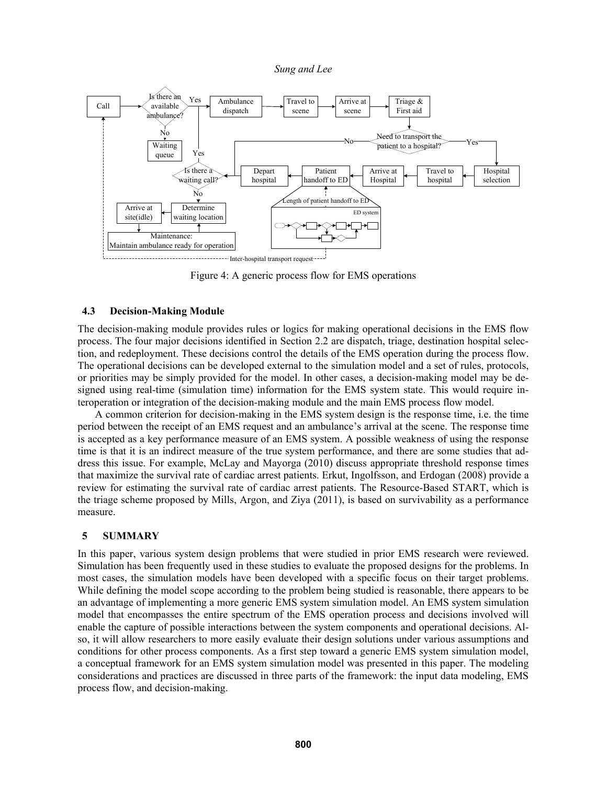

Figure 4: A generic process flow for EMS operations

# **4.3 Decision-Making Module**

The decision-making module provides rules or logics for making operational decisions in the EMS flow process. The four major decisions identified in Section 2.2 are dispatch, triage, destination hospital selection, and redeployment. These decisions control the details of the EMS operation during the process flow. The operational decisions can be developed external to the simulation model and a set of rules, protocols, or priorities may be simply provided for the model. In other cases, a decision-making model may be designed using real-time (simulation time) information for the EMS system state. This would require interoperation or integration of the decision-making module and the main EMS process flow model.

 A common criterion for decision-making in the EMS system design is the response time, i.e. the time period between the receipt of an EMS request and an ambulance's arrival at the scene. The response time is accepted as a key performance measure of an EMS system. A possible weakness of using the response time is that it is an indirect measure of the true system performance, and there are some studies that address this issue. For example, McLay and Mayorga (2010) discuss appropriate threshold response times that maximize the survival rate of cardiac arrest patients. Erkut, Ingolfsson, and Erdogan (2008) provide a review for estimating the survival rate of cardiac arrest patients. The Resource-Based START, which is the triage scheme proposed by Mills, Argon, and Ziya (2011), is based on survivability as a performance measure.

### **5 SUMMARY**

In this paper, various system design problems that were studied in prior EMS research were reviewed. Simulation has been frequently used in these studies to evaluate the proposed designs for the problems. In most cases, the simulation models have been developed with a specific focus on their target problems. While defining the model scope according to the problem being studied is reasonable, there appears to be an advantage of implementing a more generic EMS system simulation model. An EMS system simulation model that encompasses the entire spectrum of the EMS operation process and decisions involved will enable the capture of possible interactions between the system components and operational decisions. Also, it will allow researchers to more easily evaluate their design solutions under various assumptions and conditions for other process components. As a first step toward a generic EMS system simulation model, a conceptual framework for an EMS system simulation model was presented in this paper. The modeling considerations and practices are discussed in three parts of the framework: the input data modeling, EMS process flow, and decision-making.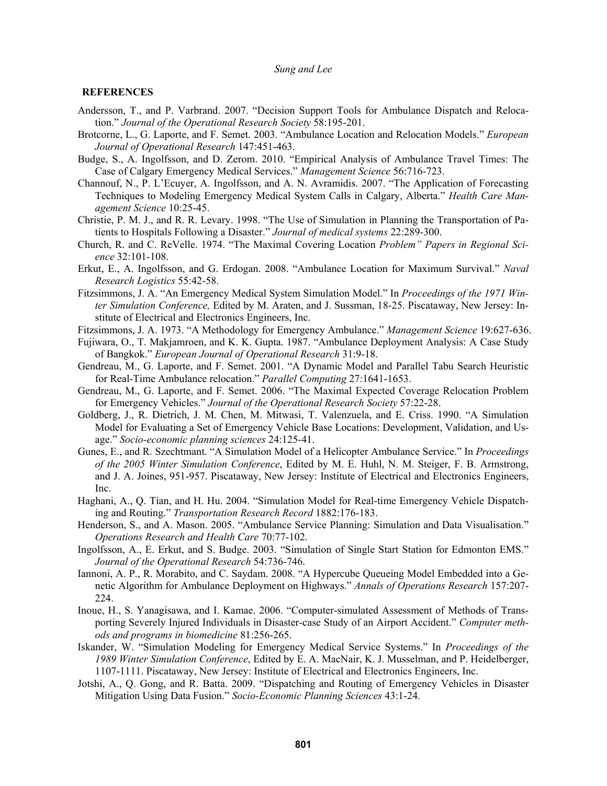### **REFERENCES**

- Andersson, T., and P. Varbrand. 2007. "Decision Support Tools for Ambulance Dispatch and Relocation." *Journal of the Operational Research Society* 58:195-201.
- Brotcorne, L., G. Laporte, and F. Semet. 2003. "Ambulance Location and Relocation Models." *European Journal of Operational Research* 147:451-463.
- Budge, S., A. Ingolfsson, and D. Zerom. 2010. "Empirical Analysis of Ambulance Travel Times: The Case of Calgary Emergency Medical Services." *Management Science* 56:716-723.
- Channouf, N., P. L'Ecuyer, A. Ingolfsson, and A. N. Avramidis. 2007. "The Application of Forecasting Techniques to Modeling Emergency Medical System Calls in Calgary, Alberta." *Health Care Management Science* 10:25-45.
- Christie, P. M. J., and R. R. Levary. 1998. "The Use of Simulation in Planning the Transportation of Patients to Hospitals Following a Disaster." *Journal of medical systems* 22:289-300.
- Church, R. and C. ReVelle. 1974. "The Maximal Covering Location *Problem" Papers in Regional Science* 32:101-108.
- Erkut, E., A. Ingolfsson, and G. Erdogan. 2008. "Ambulance Location for Maximum Survival." *Naval Research Logistics* 55:42-58.
- Fitzsimmons, J. A. "An Emergency Medical System Simulation Model." In *Proceedings of the 1971 Winter Simulation Conference,* Edited by M. Araten, and J. Sussman, 18-25. Piscataway, New Jersey: Institute of Electrical and Electronics Engineers, Inc.
- Fitzsimmons, J. A. 1973. "A Methodology for Emergency Ambulance." *Management Science* 19:627-636.
- Fujiwara, O., T. Makjamroen, and K. K. Gupta. 1987. "Ambulance Deployment Analysis: A Case Study of Bangkok." *European Journal of Operational Research* 31:9-18.
- Gendreau, M., G. Laporte, and F. Semet. 2001. "A Dynamic Model and Parallel Tabu Search Heuristic for Real-Time Ambulance relocation." *Parallel Computing* 27:1641-1653.
- Gendreau, M., G. Laporte, and F. Semet. 2006. "The Maximal Expected Coverage Relocation Problem for Emergency Vehicles." *Journal of the Operational Research Society* 57:22-28.
- Goldberg, J., R. Dietrich, J. M. Chen, M. Mitwasi, T. Valenzuela, and E. Criss. 1990. "A Simulation Model for Evaluating a Set of Emergency Vehicle Base Locations: Development, Validation, and Usage." *Socio-economic planning sciences* 24:125-41.
- Gunes, E., and R. Szechtmant. "A Simulation Model of a Helicopter Ambulance Service." In *Proceedings of the 2005 Winter Simulation Conference*, Edited by M. E. Huhl, N. M. Steiger, F. B. Armstrong, and J. A. Joines, 951-957. Piscataway, New Jersey: Institute of Electrical and Electronics Engineers, Inc.
- Haghani, A., Q. Tian, and H. Hu. 2004. "Simulation Model for Real-time Emergency Vehicle Dispatching and Routing." *Transportation Research Record* 1882:176-183.
- Henderson, S., and A. Mason. 2005. "Ambulance Service Planning: Simulation and Data Visualisation." *Operations Research and Health Care* 70:77-102.
- Ingolfsson, A., E. Erkut, and S. Budge. 2003. "Simulation of Single Start Station for Edmonton EMS." *Journal of the Operational Research* 54:736-746.
- Iannoni, A. P., R. Morabito, and C. Saydam. 2008. "A Hypercube Queueing Model Embedded into a Genetic Algorithm for Ambulance Deployment on Highways." *Annals of Operations Research* 157:207- 224.
- Inoue, H., S. Yanagisawa, and I. Kamae. 2006. "Computer-simulated Assessment of Methods of Transporting Severely Injured Individuals in Disaster-case Study of an Airport Accident." *Computer methods and programs in biomedicine* 81:256-265.
- Iskander, W. "Simulation Modeling for Emergency Medical Service Systems." In *Proceedings of the 1989 Winter Simulation Conference*, Edited by E. A. MacNair, K. J. Musselman, and P. Heidelberger, 1107-1111. Piscataway, New Jersey: Institute of Electrical and Electronics Engineers, Inc.
- Jotshi, A., Q. Gong, and R. Batta. 2009. "Dispatching and Routing of Emergency Vehicles in Disaster Mitigation Using Data Fusion." *Socio-Economic Planning Sciences* 43:1-24.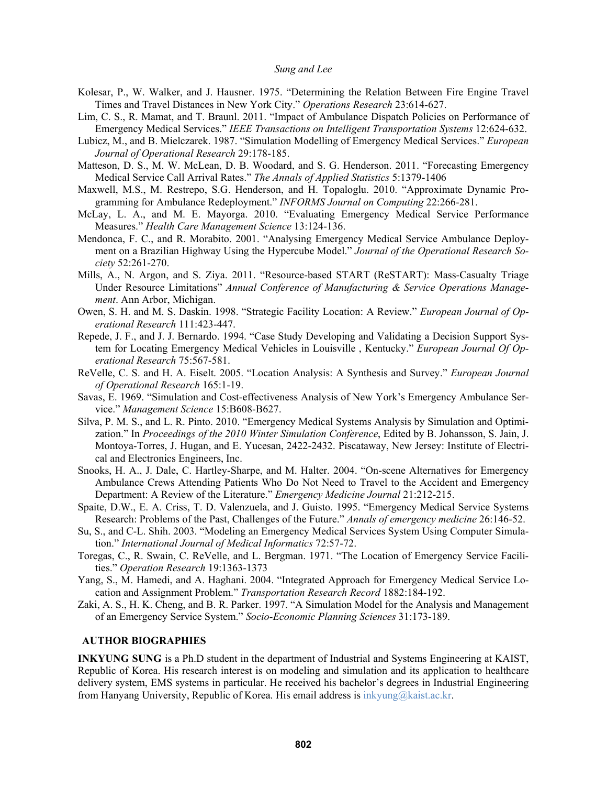- Kolesar, P., W. Walker, and J. Hausner. 1975. "Determining the Relation Between Fire Engine Travel Times and Travel Distances in New York City." *Operations Research* 23:614-627.
- Lim, C. S., R. Mamat, and T. Braunl. 2011. "Impact of Ambulance Dispatch Policies on Performance of Emergency Medical Services." *IEEE Transactions on Intelligent Transportation Systems* 12:624-632.
- Lubicz, M., and B. Mielczarek. 1987. "Simulation Modelling of Emergency Medical Services." *European Journal of Operational Research* 29:178-185.
- Matteson, D. S., M. W. McLean, D. B. Woodard, and S. G. Henderson. 2011. "Forecasting Emergency Medical Service Call Arrival Rates." *The Annals of Applied Statistics* 5:1379-1406
- Maxwell, M.S., M. Restrepo, S.G. Henderson, and H. Topaloglu. 2010. "Approximate Dynamic Programming for Ambulance Redeployment." *INFORMS Journal on Computing* 22:266-281.
- McLay, L. A., and M. E. Mayorga. 2010. "Evaluating Emergency Medical Service Performance Measures." *Health Care Management Science* 13:124-136.
- Mendonca, F. C., and R. Morabito. 2001. "Analysing Emergency Medical Service Ambulance Deployment on a Brazilian Highway Using the Hypercube Model." *Journal of the Operational Research Society* 52:261-270.
- Mills, A., N. Argon, and S. Ziya. 2011. "Resource-based START (ReSTART): Mass-Casualty Triage Under Resource Limitations" *Annual Conference of Manufacturing & Service Operations Management*. Ann Arbor, Michigan.
- Owen, S. H. and M. S. Daskin. 1998. "Strategic Facility Location: A Review." *European Journal of Operational Research* 111:423-447.
- Repede, J. F., and J. J. Bernardo. 1994. "Case Study Developing and Validating a Decision Support System for Locating Emergency Medical Vehicles in Louisville , Kentucky." *European Journal Of Operational Research* 75:567-581.
- ReVelle, C. S. and H. A. Eiselt. 2005. "Location Analysis: A Synthesis and Survey." *European Journal of Operational Research* 165:1-19.
- Savas, E. 1969. "Simulation and Cost-effectiveness Analysis of New York's Emergency Ambulance Service." *Management Science* 15:B608-B627.
- Silva, P. M. S., and L. R. Pinto. 2010. "Emergency Medical Systems Analysis by Simulation and Optimization." In *Proceedings of the 2010 Winter Simulation Conference*, Edited by B. Johansson, S. Jain, J. Montoya-Torres, J. Hugan, and E. Yucesan, 2422-2432. Piscataway, New Jersey: Institute of Electrical and Electronics Engineers, Inc.
- Snooks, H. A., J. Dale, C. Hartley-Sharpe, and M. Halter. 2004. "On-scene Alternatives for Emergency Ambulance Crews Attending Patients Who Do Not Need to Travel to the Accident and Emergency Department: A Review of the Literature." *Emergency Medicine Journal* 21:212-215.
- Spaite, D.W., E. A. Criss, T. D. Valenzuela, and J. Guisto. 1995. "Emergency Medical Service Systems Research: Problems of the Past, Challenges of the Future." *Annals of emergency medicine* 26:146-52.
- Su, S., and C-L. Shih. 2003. "Modeling an Emergency Medical Services System Using Computer Simulation." *International Journal of Medical Informatics* 72:57-72.
- Toregas, C., R. Swain, C. ReVelle, and L. Bergman. 1971. "The Location of Emergency Service Facilities." *Operation Research* 19:1363-1373
- Yang, S., M. Hamedi, and A. Haghani. 2004. "Integrated Approach for Emergency Medical Service Location and Assignment Problem." *Transportation Research Record* 1882:184-192.
- Zaki, A. S., H. K. Cheng, and B. R. Parker. 1997. "A Simulation Model for the Analysis and Management of an Emergency Service System." *Socio-Economic Planning Sciences* 31:173-189.

# **AUTHOR BIOGRAPHIES**

**INKYUNG SUNG** is a Ph.D student in the department of Industrial and Systems Engineering at KAIST, Republic of Korea. His research interest is on modeling and simulation and its application to healthcare delivery system, EMS systems in particular. He received his bachelor's degrees in Industrial Engineering from Hanyang University, Republic of Korea. His email address is inkyung@kaist.ac.kr.